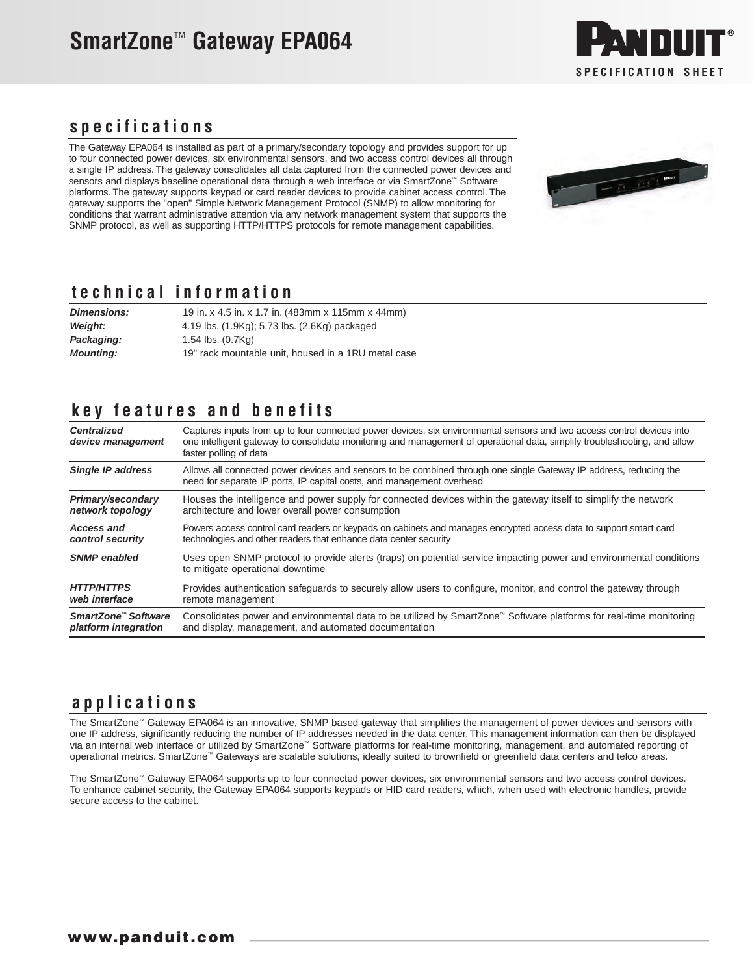## **SmartZone**™ **Gateway EPA064**



#### **specifications**

The Gateway EPA064 is installed as part of a primary/secondary topology and provides support for up to four connected power devices, six environmental sensors, and two access control devices all through a single IP address. The gateway consolidates all data captured from the connected power devices and sensors and displays baseline operational data through a web interface or via SmartZone™ Software platforms. The gateway supports keypad or card reader devices to provide cabinet access control. The gateway supports the "open" Simple Network Management Protocol (SNMP) to allow monitoring for conditions that warrant administrative attention via any network management system that supports the SNMP protocol, as well as supporting HTTP/HTTPS protocols for remote management capabilities.



#### **technical information**

| <b>Dimensions:</b> | 19 in. x 4.5 in. x 1.7 in. (483mm x 115mm x 44mm)   |
|--------------------|-----------------------------------------------------|
| <b>Weight:</b>     | 4.19 lbs. (1.9Kg); 5.73 lbs. (2.6Kg) packaged       |
| Packaging:         | 1.54 $\mathsf{lbs.}\ (0.7\mathsf{Kq})$              |
| <b>Mounting:</b>   | 19" rack mountable unit, housed in a 1RU metal case |

### **key features and benefits**

| <b>Centralized</b><br>device management | Captures inputs from up to four connected power devices, six environmental sensors and two access control devices into<br>one intelligent gateway to consolidate monitoring and management of operational data, simplify troubleshooting, and allow<br>faster polling of data |
|-----------------------------------------|-------------------------------------------------------------------------------------------------------------------------------------------------------------------------------------------------------------------------------------------------------------------------------|
| <b>Single IP address</b>                | Allows all connected power devices and sensors to be combined through one single Gateway IP address, reducing the<br>need for separate IP ports, IP capital costs, and management overhead                                                                                    |
| Primary/secondary                       | Houses the intelligence and power supply for connected devices within the gateway itself to simplify the network                                                                                                                                                              |
| network topology                        | architecture and lower overall power consumption                                                                                                                                                                                                                              |
| <b>Access and</b>                       | Powers access control card readers or keypads on cabinets and manages encrypted access data to support smart card                                                                                                                                                             |
| control security                        | technologies and other readers that enhance data center security                                                                                                                                                                                                              |
| <b>SNMP</b> enabled                     | Uses open SNMP protocol to provide alerts (traps) on potential service impacting power and environmental conditions<br>to mitigate operational downtime                                                                                                                       |
| <b>HTTP/HTTPS</b>                       | Provides authentication safeguards to securely allow users to configure, monitor, and control the gateway through                                                                                                                                                             |
| web interface                           | remote management                                                                                                                                                                                                                                                             |
| SmartZone <sup>™</sup> Software         | Consolidates power and environmental data to be utilized by SmartZone <sup>™</sup> Software platforms for real-time monitoring                                                                                                                                                |
| platform integration                    | and display, management, and automated documentation                                                                                                                                                                                                                          |

#### **applications**

The SmartZone™ Gateway EPA064 is an innovative, SNMP based gateway that simplifies the management of power devices and sensors with one IP address, significantly reducing the number of IP addresses needed in the data center. This management information can then be displayed via an internal web interface or utilized by SmartZone™ Software platforms for real-time monitoring, management, and automated reporting of operational metrics. SmartZone™ Gateways are scalable solutions, ideally suited to brownfield or greenfield data centers and telco areas.

The SmartZone™ Gateway EPA064 supports up to four connected power devices, six environmental sensors and two access control devices. To enhance cabinet security, the Gateway EPA064 supports keypads or HID card readers, which, when used with electronic handles, provide secure access to the cabinet.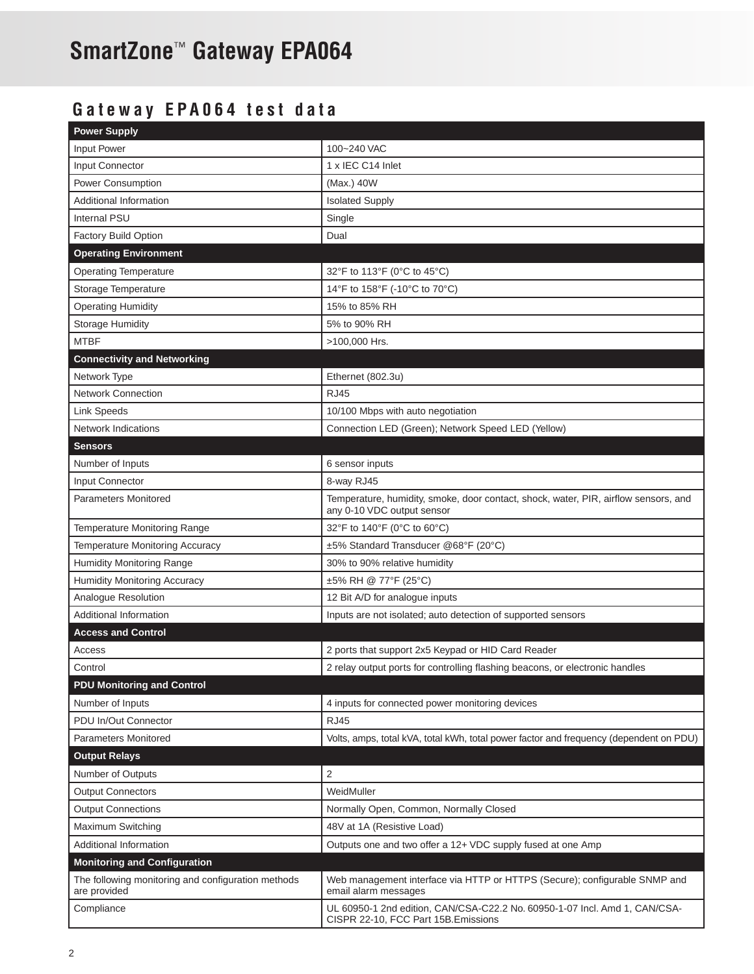# **SmartZone**™ **Gateway EPA064**

## **Gateway EPA064 test data**

| <b>Power Supply</b>                                                |                                                                                                                    |
|--------------------------------------------------------------------|--------------------------------------------------------------------------------------------------------------------|
| Input Power                                                        | 100~240 VAC                                                                                                        |
| Input Connector                                                    | 1 x IEC C14 Inlet                                                                                                  |
| Power Consumption                                                  | (Max.) 40W                                                                                                         |
| <b>Additional Information</b>                                      | <b>Isolated Supply</b>                                                                                             |
| <b>Internal PSU</b>                                                | Single                                                                                                             |
| Factory Build Option                                               | Dual                                                                                                               |
| <b>Operating Environment</b>                                       |                                                                                                                    |
| <b>Operating Temperature</b>                                       | 32°F to 113°F (0°C to 45°C)                                                                                        |
| Storage Temperature                                                | 14°F to 158°F (-10°C to 70°C)                                                                                      |
| <b>Operating Humidity</b>                                          | 15% to 85% RH                                                                                                      |
| <b>Storage Humidity</b>                                            | 5% to 90% RH                                                                                                       |
| <b>MTBF</b>                                                        | >100,000 Hrs.                                                                                                      |
| <b>Connectivity and Networking</b>                                 |                                                                                                                    |
| Network Type                                                       | Ethernet (802.3u)                                                                                                  |
| <b>Network Connection</b>                                          | <b>RJ45</b>                                                                                                        |
| <b>Link Speeds</b>                                                 | 10/100 Mbps with auto negotiation                                                                                  |
| <b>Network Indications</b>                                         | Connection LED (Green); Network Speed LED (Yellow)                                                                 |
| <b>Sensors</b>                                                     |                                                                                                                    |
| Number of Inputs                                                   | 6 sensor inputs                                                                                                    |
| Input Connector                                                    | 8-way RJ45                                                                                                         |
| <b>Parameters Monitored</b>                                        | Temperature, humidity, smoke, door contact, shock, water, PIR, airflow sensors, and<br>any 0-10 VDC output sensor  |
| Temperature Monitoring Range                                       | 32°F to 140°F (0°C to 60°C)                                                                                        |
| Temperature Monitoring Accuracy                                    | ±5% Standard Transducer @68°F (20°C)                                                                               |
| Humidity Monitoring Range                                          | 30% to 90% relative humidity                                                                                       |
| Humidity Monitoring Accuracy                                       | ±5% RH @ 77°F (25°C)                                                                                               |
| Analogue Resolution                                                | 12 Bit A/D for analogue inputs                                                                                     |
| <b>Additional Information</b>                                      | Inputs are not isolated; auto detection of supported sensors                                                       |
| <b>Access and Control</b>                                          |                                                                                                                    |
| Access                                                             | 2 ports that support 2x5 Keypad or HID Card Reader                                                                 |
| Control                                                            | 2 relay output ports for controlling flashing beacons, or electronic handles                                       |
| <b>PDU Monitoring and Control</b>                                  |                                                                                                                    |
| Number of Inputs                                                   | 4 inputs for connected power monitoring devices                                                                    |
| PDU In/Out Connector                                               | <b>RJ45</b>                                                                                                        |
| <b>Parameters Monitored</b>                                        | Volts, amps, total kVA, total kWh, total power factor and frequency (dependent on PDU)                             |
| <b>Output Relays</b>                                               |                                                                                                                    |
| Number of Outputs                                                  | 2                                                                                                                  |
| <b>Output Connectors</b>                                           | WeidMuller                                                                                                         |
| <b>Output Connections</b>                                          | Normally Open, Common, Normally Closed                                                                             |
| Maximum Switching                                                  | 48V at 1A (Resistive Load)                                                                                         |
| Additional Information                                             | Outputs one and two offer a 12+ VDC supply fused at one Amp                                                        |
| <b>Monitoring and Configuration</b>                                |                                                                                                                    |
| The following monitoring and configuration methods<br>are provided | Web management interface via HTTP or HTTPS (Secure); configurable SNMP and<br>email alarm messages                 |
| Compliance                                                         | UL 60950-1 2nd edition, CAN/CSA-C22.2 No. 60950-1-07 Incl. Amd 1, CAN/CSA-<br>CISPR 22-10, FCC Part 15B. Emissions |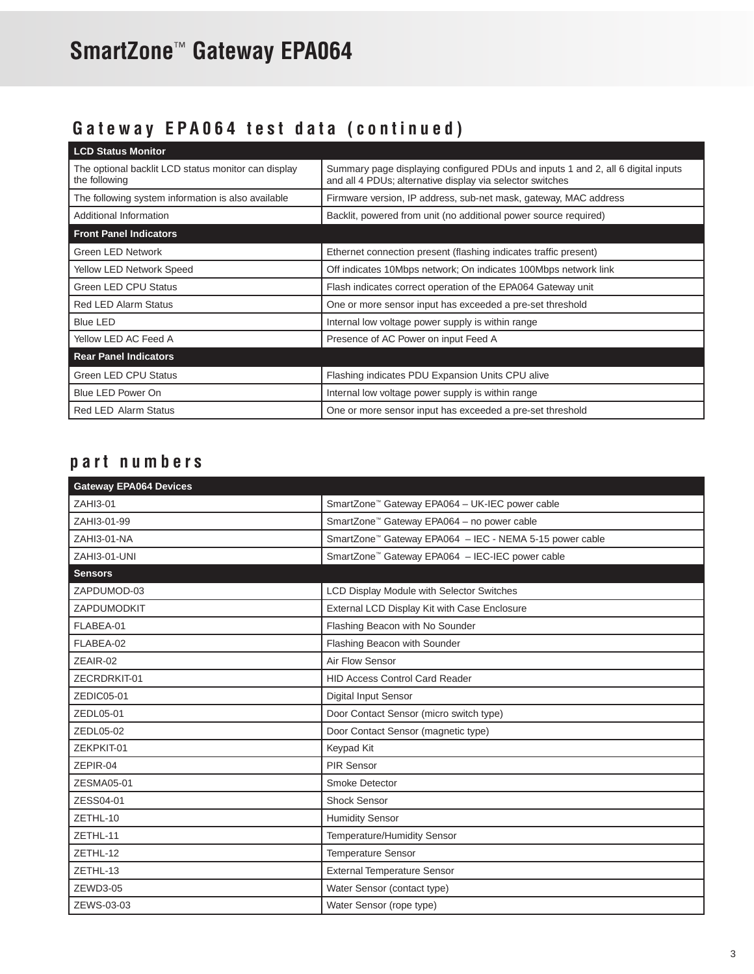# **SmartZone**™ **Gateway EPA064**

## **Gateway EPA064 test data (continued)**

| <b>LCD Status Monitor</b>                                            |                                                                                                                                               |
|----------------------------------------------------------------------|-----------------------------------------------------------------------------------------------------------------------------------------------|
| The optional backlit LCD status monitor can display<br>the following | Summary page displaying configured PDUs and inputs 1 and 2, all 6 digital inputs<br>and all 4 PDUs; alternative display via selector switches |
| The following system information is also available                   | Firmware version, IP address, sub-net mask, gateway, MAC address                                                                              |
| Additional Information                                               | Backlit, powered from unit (no additional power source required)                                                                              |
| <b>Front Panel Indicators</b>                                        |                                                                                                                                               |
| Green LED Network                                                    | Ethernet connection present (flashing indicates traffic present)                                                                              |
| Yellow LED Network Speed                                             | Off indicates 10Mbps network; On indicates 100Mbps network link                                                                               |
| Green LED CPU Status                                                 | Flash indicates correct operation of the EPA064 Gateway unit                                                                                  |
| <b>Red LED Alarm Status</b>                                          | One or more sensor input has exceeded a pre-set threshold                                                                                     |
| <b>Blue LED</b>                                                      | Internal low voltage power supply is within range                                                                                             |
| Yellow LED AC Feed A                                                 | Presence of AC Power on input Feed A                                                                                                          |
| <b>Rear Panel Indicators</b>                                         |                                                                                                                                               |
| <b>Green LED CPU Status</b>                                          | Flashing indicates PDU Expansion Units CPU alive                                                                                              |
| Blue LED Power On                                                    | Internal low voltage power supply is within range                                                                                             |
| <b>Red LED Alarm Status</b>                                          | One or more sensor input has exceeded a pre-set threshold                                                                                     |

## **part numbers**

| <b>Gateway EPA064 Devices</b> |                                                             |
|-------------------------------|-------------------------------------------------------------|
| ZAHI3-01                      | SmartZone <sup>™</sup> Gateway EPA064 - UK-IEC power cable  |
| ZAHI3-01-99                   | SmartZone <sup>™</sup> Gateway EPA064 - no power cable      |
| ZAHI3-01-NA                   | SmartZone™ Gateway EPA064 - IEC - NEMA 5-15 power cable     |
| ZAHI3-01-UNI                  | SmartZone <sup>™</sup> Gateway EPA064 - IEC-IEC power cable |
| <b>Sensors</b>                |                                                             |
| ZAPDUMOD-03                   | LCD Display Module with Selector Switches                   |
| ZAPDUMODKIT                   | External LCD Display Kit with Case Enclosure                |
| FLABEA-01                     | Flashing Beacon with No Sounder                             |
| FLABEA-02                     | Flashing Beacon with Sounder                                |
| ZEAIR-02                      | Air Flow Sensor                                             |
| ZECRDRKIT-01                  | <b>HID Access Control Card Reader</b>                       |
| ZEDIC05-01                    | Digital Input Sensor                                        |
| ZEDL05-01                     | Door Contact Sensor (micro switch type)                     |
| ZEDL05-02                     | Door Contact Sensor (magnetic type)                         |
| ZEKPKIT-01                    | Keypad Kit                                                  |
| ZEPIR-04                      | PIR Sensor                                                  |
| ZESMA05-01                    | Smoke Detector                                              |
| ZESS04-01                     | <b>Shock Sensor</b>                                         |
| ZETHL-10                      | <b>Humidity Sensor</b>                                      |
| ZETHL-11                      | Temperature/Humidity Sensor                                 |
| ZETHL-12                      | <b>Temperature Sensor</b>                                   |
| ZETHL-13                      | <b>External Temperature Sensor</b>                          |
| ZEWD3-05                      | Water Sensor (contact type)                                 |
| ZEWS-03-03                    | Water Sensor (rope type)                                    |